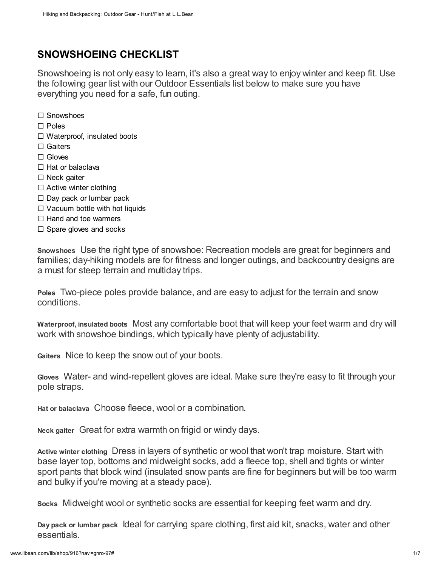# SNOWSHOEING CHECKLIST

Snowshoeing is not only easy to learn, it's also a great way to enjoy winter and keep fit. Use the following gear list with our Outdoor Essentials list below to make sure you have everything you need for a safe, fun outing.

□ Snowshoes

- □ Poles
- $\square$  Waterproof, insulated boots
- □ Gaiters
- □ Gloves
- □ Hat or balaclava
- □ Neck gaiter
- $\square$  Active winter clothing
- $\square$  Day pack or lumbar pack
- $\square$  Vacuum bottle with hot liquids
- $\Box$  Hand and toe warmers
- $\square$  Spare gloves and socks

Snowshoes Use the right type of snowshoe: Recreation models are great for beginners and families; day-hiking models are for fitness and longer outings, and backcountry designs are a must for steep terrain and multiday trips.

Poles Two-piece poles provide balance, and are easy to adjust for the terrain and snow conditions.

Waterproof, insulated boots Most any comfortable boot that will keep your feet warm and dry will work with snowshoe bindings, which typically have plenty of adjustability.

Gaiters Nice to keep the snow out of your boots.

Gloves Water- and wind-repellent gloves are ideal. Make sure they're easy to fit through your pole straps.

Hat or balaclava Choose fleece, wool or a combination.

Neck gaiter Great for extra warmth on frigid or windy days.

Active winter clothing Dress in layers of synthetic or wool that won't trap moisture. Start with base layer top, bottoms and midweight socks, add a fleece top, shell and tights or winter sport pants that block wind (insulated snow pants are fine for beginners but will be too warm and bulky if you're moving at a steady pace).

Socks Midweight wool or synthetic socks are essential for keeping feet warm and dry.

Day pack or lumbar pack Ideal for carrying spare clothing, first aid kit, snacks, water and other essentials.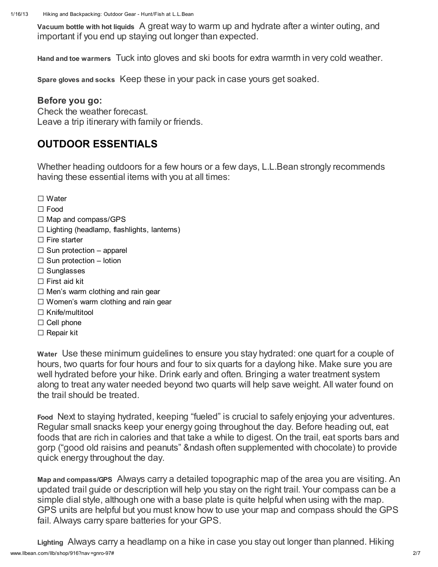Vacuum bottle with hot liquids A great way to warm up and hydrate after a winter outing, and important if you end up staying out longer than expected.

Hand and toe warmers Tuck into gloves and ski boots for extra warmth in very cold weather.

Spare gloves and socks Keep these in your pack in case yours get soaked.

#### Before you go:

Check the weather forecast. Leave a trip itinerary with family or friends.

## OUTDOOR ESSENTIALS

Whether heading outdoors for a few hours or a few days, L.L.Bean strongly recommends having these essential items with you at all times:

- □ Water
- □ Food
- □ Map and compass/GPS
- $\square$  Lighting (headlamp, flashlights, lanterns)
- $\square$  Fire starter
- $\square$  Sun protection apparel
- $\square$  Sun protection lotion
- □ Sunglasses
- $\square$  First aid kit
- $\square$  Men's warm clothing and rain gear
- $\square$  Women's warm clothing and rain gear
- □ Knife/multitool
- $\square$  Cell phone
- □ Repair kit

Water Use these minimum guidelines to ensure you stay hydrated: one quart for a couple of hours, two quarts for four hours and four to six quarts for a daylong hike. Make sure you are well hydrated before your hike. Drink early and often. Bringing a water treatment system along to treat any water needed beyond two quarts will help save weight. All water found on the trail should be treated.

Food Next to staying hydrated, keeping "fueled" is crucial to safely enjoying your adventures. Regular small snacks keep your energy going throughout the day. Before heading out, eat foods that are rich in calories and that take a while to digest. On the trail, eat sports bars and gorp ("good old raisins and peanuts" &ndash often supplemented with chocolate) to provide quick energy throughout the day.

Map and compass/GPS Always carry a detailed topographic map of the area you are visiting. An updated trail guide or description will help you stay on the right trail. Your compass can be a simple dial style, although one with a base plate is quite helpful when using with the map. GPS units are helpful but you must know how to use your map and compass should the GPS fail. Always carry spare batteries for your GPS.

www.llbean.com/llb/shop/916?nav =gnro-97# 2/7 Lighting Always carry a headlamp on a hike in case you stay out longer than planned. Hiking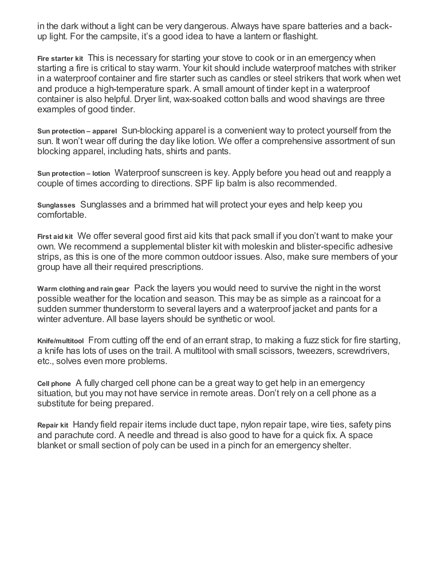in the dark without a light can be very dangerous. Always have spare batteries and a backup light. For the campsite, it's a good idea to have a lantern or flashight.

Fire starter kit This is necessary for starting your stove to cook or in an emergency when starting a fire is critical to stay warm. Your kit should include waterproof matches with striker in a waterproof container and fire starter such as candles or steel strikers that work when wet and produce a high-temperature spark. A small amount of tinder kept in a waterproof container is also helpful. Dryer lint, wax-soaked cotton balls and wood shavings are three examples of good tinder.

Sun protection – apparel Sun-blocking apparel is a convenient way to protect yourself from the sun. It won't wear off during the day like lotion. We offer a comprehensive assortment of sun blocking apparel, including hats, shirts and pants.

Sun protection – lotion Waterproof sunscreen is key. Apply before you head out and reapply a couple of times according to directions. SPF lip balm is also recommended.

Sunglasses Sunglasses and a brimmed hat will protect your eyes and help keep you comfortable.

First aid kit We offer several good first aid kits that pack small if you don't want to make your own. We recommend a supplemental blister kit with moleskin and blister-specific adhesive strips, as this is one of the more common outdoor issues. Also, make sure members of your group have all their required prescriptions.

Warm clothing and rain gear Pack the layers you would need to survive the night in the worst possible weather for the location and season. This may be as simple as a raincoat for a sudden summer thunderstorm to several layers and a waterproof jacket and pants for a winter adventure. All base layers should be synthetic or wool.

Knife/multitool From cutting off the end of an errant strap, to making a fuzz stick for fire starting, a knife has lots of uses on the trail. A multitool with small scissors, tweezers, screwdrivers, etc., solves even more problems.

Cell phone A fully charged cell phone can be a great way to get help in an emergency situation, but you may not have service in remote areas. Don't rely on a cell phone as a substitute for being prepared.

Repair kit Handy field repair items include duct tape, nylon repair tape, wire ties, safety pins and parachute cord. A needle and thread is also good to have for a quick fix. A space blanket or small section of poly can be used in a pinch for an emergency shelter.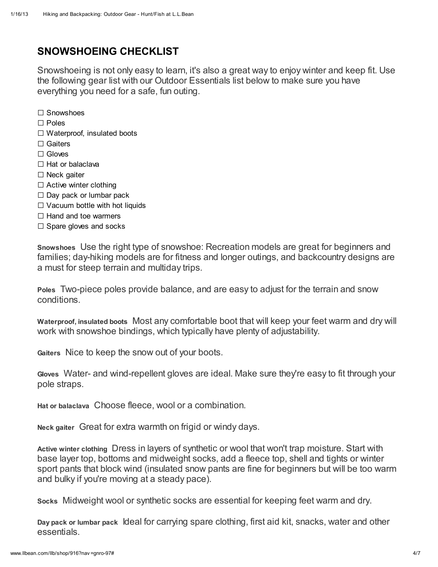# SNOWSHOEING CHECKLIST

Snowshoeing is not only easy to learn, it's also a great way to enjoy winter and keep fit. Use the following gear list with our Outdoor Essentials list below to make sure you have everything you need for a safe, fun outing.

□ Snowshoes

- □ Poles
- □ Waterproof, insulated boots
- □ Gaiters
- □ Gloves
- $\square$  Hat or balaclava
- □ Neck gaiter
- $\square$  Active winter clothing
- $\square$  Day pack or lumbar pack
- $\Box$  Vacuum bottle with hot liquids
- $\Box$  Hand and toe warmers
- $\Box$  Spare gloves and socks

Snowshoes Use the right type of snowshoe: Recreation models are great for beginners and families; day-hiking models are for fitness and longer outings, and backcountry designs are a must for steep terrain and multiday trips.

Poles Two-piece poles provide balance, and are easy to adjust for the terrain and snow conditions.

Waterproof, insulated boots Most any comfortable boot that will keep your feet warm and dry will work with snowshoe bindings, which typically have plenty of adjustability.

Gaiters Nice to keep the snow out of your boots.

Gloves Water- and wind-repellent gloves are ideal. Make sure they're easy to fit through your pole straps.

Hat or balaclava Choose fleece, wool or a combination.

Neck gaiter Great for extra warmth on frigid or windy days.

Active winter clothing Dress in layers of synthetic or wool that won't trap moisture. Start with base layer top, bottoms and midweight socks, add a fleece top, shell and tights or winter sport pants that block wind (insulated snow pants are fine for beginners but will be too warm and bulky if you're moving at a steady pace).

Socks Midweight wool or synthetic socks are essential for keeping feet warm and dry.

Day pack or lumbar pack Ideal for carrying spare clothing, first aid kit, snacks, water and other essentials.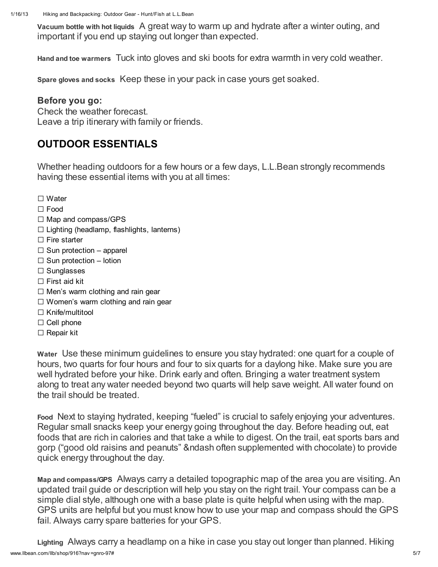Vacuum bottle with hot liquids A great way to warm up and hydrate after a winter outing, and important if you end up staying out longer than expected.

Hand and toe warmers Tuck into gloves and ski boots for extra warmth in very cold weather.

Spare gloves and socks Keep these in your pack in case yours get soaked.

#### Before you go:

Check the weather forecast. Leave a trip itinerary with family or friends.

## OUTDOOR ESSENTIALS

Whether heading outdoors for a few hours or a few days, L.L.Bean strongly recommends having these essential items with you at all times:

- □ Water
- □ Food
- □ Map and compass/GPS
- $\square$  Lighting (headlamp, flashlights, lanterns)
- $\square$  Fire starter
- $\square$  Sun protection apparel
- $\square$  Sun protection lotion
- □ Sunglasses
- $\square$  First aid kit
- $\square$  Men's warm clothing and rain gear
- $\square$  Women's warm clothing and rain gear
- □ Knife/multitool
- $\square$  Cell phone
- □ Repair kit

Water Use these minimum guidelines to ensure you stay hydrated: one quart for a couple of hours, two quarts for four hours and four to six quarts for a daylong hike. Make sure you are well hydrated before your hike. Drink early and often. Bringing a water treatment system along to treat any water needed beyond two quarts will help save weight. All water found on the trail should be treated.

Food Next to staying hydrated, keeping "fueled" is crucial to safely enjoying your adventures. Regular small snacks keep your energy going throughout the day. Before heading out, eat foods that are rich in calories and that take a while to digest. On the trail, eat sports bars and gorp ("good old raisins and peanuts" &ndash often supplemented with chocolate) to provide quick energy throughout the day.

Map and compass/GPS Always carry a detailed topographic map of the area you are visiting. An updated trail guide or description will help you stay on the right trail. Your compass can be a simple dial style, although one with a base plate is quite helpful when using with the map. GPS units are helpful but you must know how to use your map and compass should the GPS fail. Always carry spare batteries for your GPS.

www.llbean.com/llb/shop/916?nav =gnro-97# 5/7 Lighting Always carry a headlamp on a hike in case you stay out longer than planned. Hiking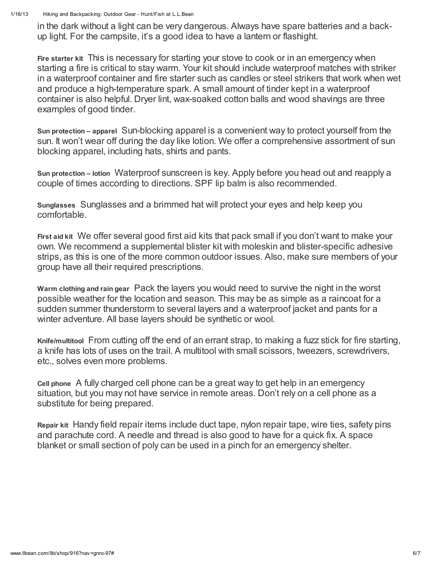1/16/13 Hiking and Backpacking: Outdoor Gear - Hunt/Fish at L.L.Bean

in the dark without a light can be very dangerous. Always have spare batteries and a backup light. For the campsite, it's a good idea to have a lantern or flashight.

Fire starter kit This is necessary for starting your stove to cook or in an emergency when starting a fire is critical to stay warm. Your kit should include waterproof matches with striker in a waterproof container and fire starter such as candles or steel strikers that work when wet and produce a high-temperature spark. A small amount of tinder kept in a waterproof container is also helpful. Dryer lint, wax-soaked cotton balls and wood shavings are three examples of good tinder.

Sun protection – apparel Sun-blocking apparel is a convenient way to protect yourself from the sun. It won't wear off during the day like lotion. We offer a comprehensive assortment of sun blocking apparel, including hats, shirts and pants.

Sun protection – lotion Waterproof sunscreen is key. Apply before you head out and reapply a couple of times according to directions. SPF lip balm is also recommended.

Sunglasses Sunglasses and a brimmed hat will protect your eyes and help keep you comfortable.

First aid kit We offer several good first aid kits that pack small if you don't want to make your own. We recommend a supplemental blister kit with moleskin and blister-specific adhesive strips, as this is one of the more common outdoor issues. Also, make sure members of your group have all their required prescriptions.

Warm clothing and rain gear Pack the layers you would need to survive the night in the worst possible weather for the location and season. This may be as simple as a raincoat for a sudden summer thunderstorm to several layers and a waterproof jacket and pants for a winter adventure. All base layers should be synthetic or wool.

Knife/multitool From cutting off the end of an errant strap, to making a fuzz stick for fire starting, a knife has lots of uses on the trail. A multitool with small scissors, tweezers, screwdrivers, etc., solves even more problems.

Cell phone A fully charged cell phone can be a great way to get help in an emergency situation, but you may not have service in remote areas. Don't rely on a cell phone as a substitute for being prepared.

Repair kit Handy field repair items include duct tape, nylon repair tape, wire ties, safety pins and parachute cord. A needle and thread is also good to have for a quick fix. A space blanket or small section of poly can be used in a pinch for an emergency shelter.